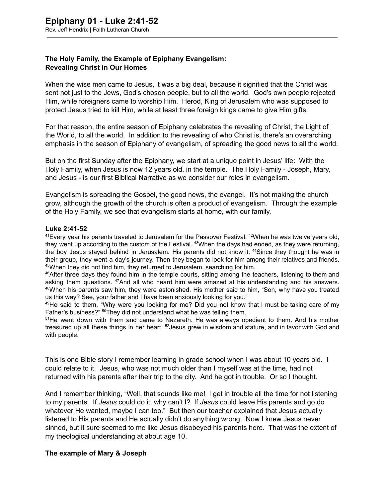## **The Holy Family, the Example of Epiphany Evangelism: Revealing Christ in Our Homes**

When the wise men came to Jesus, it was a big deal, because it signified that the Christ was sent not just to the Jews, God's chosen people, but to all the world. God's own people rejected Him, while foreigners came to worship Him. Herod, King of Jerusalem who was supposed to protect Jesus tried to kill Him, while at least three foreign kings came to give Him gifts.

For that reason, the entire season of Epiphany celebrates the revealing of Christ, the Light of the World, to all the world. In addition to the revealing of who Christ is, there's an overarching emphasis in the season of Epiphany of evangelism, of spreading the good news to all the world.

But on the first Sunday after the Epiphany, we start at a unique point in Jesus' life: With the Holy Family, when Jesus is now 12 years old, in the temple. The Holy Family Joseph, Mary, and Jesus is our first Biblical Narrative as we consider our roles in evangelism.

Evangelism is spreading the Gospel, the good news, the evangel. It's not making the church grow, although the growth of the church is often a product of evangelism. Through the example of the Holy Family, we see that evangelism starts at home, with our family.

## Luke 2:41-52

<sup>41</sup>Every year his parents traveled to Jerusalem for the Passover Festival. <sup>42</sup>When he was twelve years old, they went up according to the custom of the Festival. <sup>43</sup>When the days had ended, as they were returning, the boy Jesus stayed behind in Jerusalem. His parents did not know it. <sup>44</sup>Since they thought he was in their group, they went a day's journey. Then they began to look for him among their relatives and friends. <sup>45</sup>When they did not find him, they returned to Jerusalem, searching for him.

 $46$ After three days they found him in the temple courts, sitting among the teachers, listening to them and asking them questions. <sup>47</sup>And all who heard him were amazed at his understanding and his answers. <sup>48</sup>When his parents saw him, they were astonished. His mother said to him, "Son, why have you treated us this way? See, your father and I have been anxiously looking for you."

 $49$ He said to them, "Why were you looking for me? Did you not know that I must be taking care of my Father's business?" <sup>50</sup>They did not understand what he was telling them.

 $51$ He went down with them and came to Nazareth. He was always obedient to them. And his mother treasured up all these things in her heart. <sup>52</sup>Jesus grew in wisdom and stature, and in favor with God and with people.

This is one Bible story I remember learning in grade school when I was about 10 years old. I could relate to it. Jesus, who was not much older than I myself was at the time, had not returned with his parents after their trip to the city. And he got in trouble. Or so I thought.

And I remember thinking, "Well, that sounds like me! I get in trouble all the time for not listening to my parents. If *Jesus* could do it, why can't I? If *Jesus* could leave His parents and go do whatever He wanted, maybe I can too." But then our teacher explained that Jesus actually listened to His parents and He actually didn't do anything wrong. Now I knew Jesus never sinned, but it sure seemed to me like Jesus disobeyed his parents here. That was the extent of my theological understanding at about age 10.

## **The example of Mary & Joseph**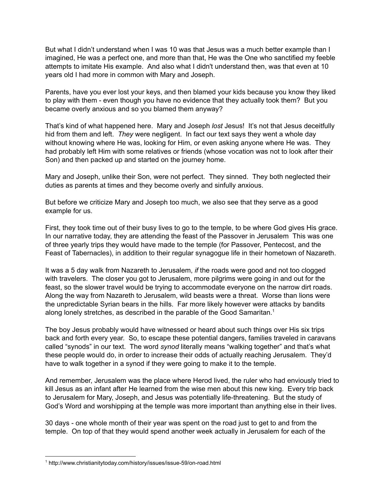But what I didn't understand when I was 10 was that Jesus was a much better example than I imagined, He was a perfect one, and more than that, He was the One who sanctified my feeble attempts to imitate His example. And also what I didn't understand then, was that even at 10 years old I had more in common with Mary and Joseph.

Parents, have you ever lost your keys, and then blamed your kids because you know they liked to play with them - even though you have no evidence that they actually took them? But you became overly anxious and so you blamed them anyway?

That's kind of what happened here. Mary and Joseph *lost* Jesus! It's not that Jesus deceitfully hid from them and left. *They* were negligent. In fact our text says they went a whole day without knowing where He was, looking for Him, or even asking anyone where He was. They had probably left Him with some relatives or friends (whose vocation was not to look after their Son) and then packed up and started on the journey home.

Mary and Joseph, unlike their Son, were not perfect. They sinned. They both neglected their duties as parents at times and they become overly and sinfully anxious.

But before we criticize Mary and Joseph too much, we also see that they serve as a good example for us.

First, they took time out of their busy lives to go to the temple, to be where God gives His grace. In our narrative today, they are attending the feast of the Passover in Jerusalem This was one of three yearly trips they would have made to the temple (for Passover, Pentecost, and the Feast of Tabernacles), in addition to their regular synagogue life in their hometown of Nazareth.

It was a 5 day walk from Nazareth to Jerusalem, *if* the roads were good and not too clogged with travelers. The closer you got to Jerusalem, more pilgrims were going in and out for the feast, so the slower travel would be trying to accommodate everyone on the narrow dirt roads. Along the way from Nazareth to Jerusalem, wild beasts were a threat. Worse than lions were the unpredictable Syrian bears in the hills. Far more likely however were attacks by bandits along lonely stretches, as described in the parable of the Good Samaritan.<sup>1</sup>

The boy Jesus probably would have witnessed or heard about such things over His six trips back and forth every year. So, to escape these potential dangers, families traveled in caravans called "synods" in our text. The word *synod* literally means "walking together" and that's what these people would do, in order to increase their odds of actually reaching Jerusalem. They'd have to walk together in a synod if they were going to make it to the temple.

And remember, Jerusalem was the place where Herod lived, the ruler who had enviously tried to kill Jesus as an infant after He learned from the wise men about this new king. Every trip back to Jerusalem for Mary, Joseph, and Jesus was potentially life-threatening. But the study of God's Word and worshipping at the temple was more important than anything else in their lives.

30 days - one whole month of their year was spent on the road just to get to and from the temple. On top of that they would spend another week actually in Jerusalem for each of the

<sup>&</sup>lt;sup>1</sup> http://www.christianitytoday.com/history/issues/issue-59/on-road.html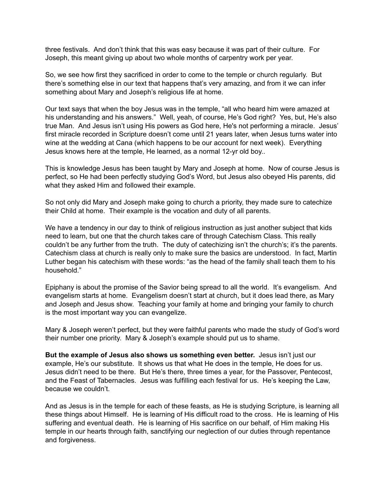three festivals. And don't think that this was easy because it was part of their culture. For Joseph, this meant giving up about two whole months of carpentry work per year.

So, we see how first they sacrificed in order to come to the temple or church regularly. But there's something else in our text that happens that's very amazing, and from it we can infer something about Mary and Joseph's religious life at home.

Our text says that when the boy Jesus was in the temple, "all who heard him were amazed at his understanding and his answers." Well, yeah, of course, He's God right? Yes, but, He's also true Man. And Jesus isn't using His powers as God here, He's not performing a miracle. Jesus' first miracle recorded in Scripture doesn't come until 21 years later, when Jesus turns water into wine at the wedding at Cana (which happens to be our account for next week). Everything Jesus knows here at the temple, He learned, as a normal 12-yr old boy..

This is knowledge Jesus has been taught by Mary and Joseph at home. Now of course Jesus is perfect, so He had been perfectly studying God's Word, but Jesus also obeyed His parents, did what they asked Him and followed their example.

So not only did Mary and Joseph make going to church a priority, they made sure to catechize their Child at home. Their example is the vocation and duty of all parents.

We have a tendency in our day to think of religious instruction as just another subject that kids need to learn, but one that the church takes care of through Catechism Class. This really couldn't be any further from the truth. The duty of catechizing isn't the church's; it's the parents. Catechism class at church is really only to make sure the basics are understood. In fact, Martin Luther began his catechism with these words: "as the head of the family shall teach them to his household."

Epiphany is about the promise of the Savior being spread to all the world. It's evangelism. And evangelism starts at home. Evangelism doesn't start at church, but it does lead there, as Mary and Joseph and Jesus show. Teaching your family at home and bringing your family to church is the most important way you can evangelize.

Mary & Joseph weren't perfect, but they were faithful parents who made the study of God's word their number one priority. Mary & Joseph's example should put us to shame.

**But the example of Jesus also shows us something even better.** Jesus isn't just our example, He's our substitute. It shows us that what He does in the temple, He does for us. Jesus didn't need to be there. But He's there, three times a year, for the Passover, Pentecost, and the Feast of Tabernacles. Jesus was fulfilling each festival for us. He's keeping the Law, because we couldn't.

And as Jesus is in the temple for each of these feasts, as He is studying Scripture, is learning all these things about Himself. He is learning of His difficult road to the cross. He is learning of His suffering and eventual death. He is learning of His sacrifice on our behalf, of Him making His temple in our hearts through faith, sanctifying our neglection of our duties through repentance and forgiveness.